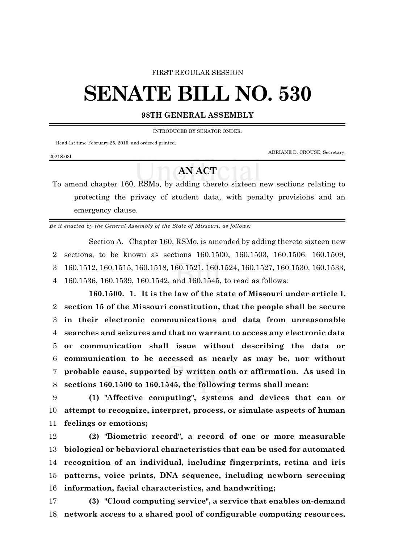#### FIRST REGULAR SESSION

# **SENATE BILL NO. 530**

### **98TH GENERAL ASSEMBLY**

INTRODUCED BY SENATOR ONDER.

Read 1st time February 25, 2015, and ordered printed.

ADRIANE D. CROUSE, Secretary.

#### 2021S.03I

## **AN ACT**

To amend chapter 160, RSMo, by adding thereto sixteen new sections relating to protecting the privacy of student data, with penalty provisions and an emergency clause.

*Be it enacted by the General Assembly of the State of Missouri, as follows:*

Section A. Chapter 160, RSMo, is amended by adding thereto sixteen new sections, to be known as sections 160.1500, 160.1503, 160.1506, 160.1509, 160.1512, 160.1515, 160.1518, 160.1521, 160.1524, 160.1527, 160.1530, 160.1533, 160.1536, 160.1539, 160.1542, and 160.1545, to read as follows:

**160.1500. 1. It is the law of the state of Missouri under article I, section 15 of the Missouri constitution, that the people shall be secure in their electronic communications and data from unreasonable searches and seizures and that no warrant to access any electronic data or communication shall issue without describing the data or communication to be accessed as nearly as may be, nor without probable cause, supported by written oath or affirmation. As used in sections 160.1500 to 160.1545, the following terms shall mean:**

9 **(1) "Affective computing", systems and devices that can or** 10 **attempt to recognize, interpret, process, or simulate aspects of human** 11 **feelings or emotions;**

 **(2) "Biometric record", a record of one or more measurable biological or behavioral characteristics that can be used for automated recognition of an individual, including fingerprints, retina and iris patterns, voice prints, DNA sequence, including newborn screening information, facial characteristics, and handwriting;**

17 **(3) "Cloud computing service", a service that enables on-demand** 18 **network access to a shared pool of configurable computing resources,**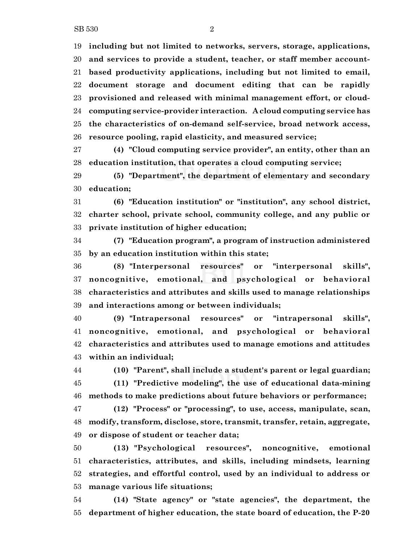**including but not limited to networks, servers, storage, applications, and services to provide a student, teacher, or staff member account- based productivity applications, including but not limited to email, document storage and document editing that can be rapidly provisioned and released with minimal management effort, or cloud- computing service-provider interaction. A cloud computing service has the characteristics of on-demand self-service, broad network access, resource pooling, rapid elasticity, and measured service;**

 **(4) "Cloud computing service provider", an entity, other than an education institution, that operates a cloud computing service;**

 **(5) "Department", the department of elementary and secondary education;**

 **(6) "Education institution" or "institution", any school district, charter school, private school, community college, and any public or private institution of higher education;**

 **(7) "Education program", a program of instruction administered by an education institution within this state;**

 **(8) "Interpersonal resources" or "interpersonal skills", noncognitive, emotional, and psychological or behavioral characteristics and attributes and skills used to manage relationships and interactions among or between individuals;**

 **(9) "Intrapersonal resources" or "intrapersonal skills", noncognitive, emotional, and psychological or behavioral characteristics and attributes used to manage emotions and attitudes within an individual;**

**(10) "Parent", shall include a student's parent or legal guardian;**

 **(11) "Predictive modeling", the use of educational data-mining methods to make predictions about future behaviors or performance;**

 **(12) "Process" or "processing", to use, access, manipulate, scan, modify, transform, disclose, store, transmit, transfer, retain, aggregate, or dispose of student or teacher data;**

 **(13) "Psychological resources", noncognitive, emotional characteristics, attributes, and skills, including mindsets, learning strategies, and effortful control, used by an individual to address or manage various life situations;**

 **(14) "State agency" or "state agencies", the department, the department of higher education, the state board of education, the P-20**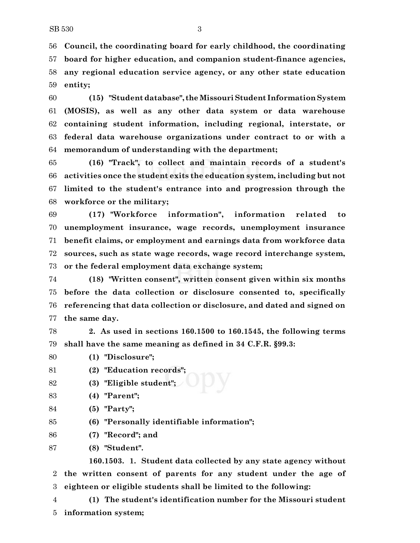**Council, the coordinating board for early childhood, the coordinating board for higher education, and companion student-finance agencies, any regional education service agency, or any other state education entity;**

 **(15) "Student database", the Missouri Student Information System (MOSIS), as well as any other data system or data warehouse containing student information, including regional, interstate, or federal data warehouse organizations under contract to or with a memorandum of understanding with the department;**

 **(16) "Track", to collect and maintain records of a student's activities once the student exits the education system, including but not limited to the student's entrance into and progression through the workforce or the military;**

 **(17) "Workforce information", information related to unemployment insurance, wage records, unemployment insurance benefit claims, or employment and earnings data from workforce data sources, such as state wage records, wage record interchange system, or the federal employment data exchange system;**

 **(18) "Written consent", written consent given within six months before the data collection or disclosure consented to, specifically referencing that data collection or disclosure, and dated and signed on the same day.**

 **2. As used in sections 160.1500 to 160.1545, the following terms shall have the same meaning as defined in 34 C.F.R. §99.3:**

**(1) "Disclosure";**

**(2) "Education records";**

- **(3) "Eligible student";**
- **(4) "Parent";**
- **(5) "Party";**
- **(6) "Personally identifiable information";**
- **(7) "Record"; and**
- **(8) "Student".**

**160.1503. 1. Student data collected by any state agency without the written consent of parents for any student under the age of eighteen or eligible students shall be limited to the following:**

 **(1) The student's identification number for the Missouri student information system;**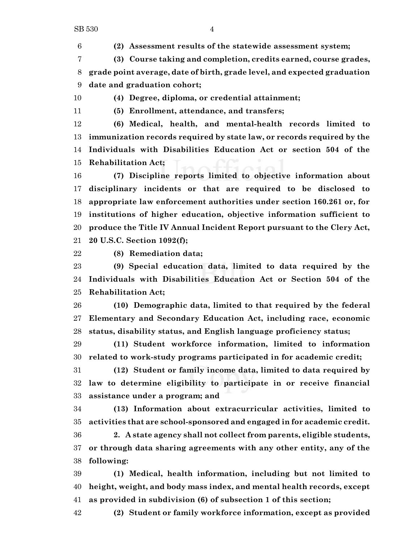**(2) Assessment results of the statewide assessment system;**

 **(3) Course taking and completion, credits earned, course grades, grade point average, date of birth, grade level, and expected graduation date and graduation cohort;**

**(4) Degree, diploma, or credential attainment;**

**(5) Enrollment, attendance, and transfers;**

 **(6) Medical, health, and mental-health records limited to immunization records required by state law, or records required by the Individuals with Disabilities Education Act or section 504 of the Rehabilitation Act;**

 **(7) Discipline reports limited to objective information about disciplinary incidents or that are required to be disclosed to appropriate law enforcement authorities under section 160.261 or, for institutions of higher education, objective information sufficient to produce the Title IV Annual Incident Report pursuant to the Clery Act, 20 U.S.C. Section 1092(f);**

**(8) Remediation data;**

 **(9) Special education data, limited to data required by the Individuals with Disabilities Education Act or Section 504 of the Rehabilitation Act;**

 **(10) Demographic data, limited to that required by the federal Elementary and Secondary Education Act, including race, economic status, disability status, and English language proficiency status;**

 **(11) Student workforce information, limited to information related to work-study programs participated in for academic credit;**

 **(12) Student or family income data, limited to data required by law to determine eligibility to participate in or receive financial assistance under a program; and**

 **(13) Information about extracurricular activities, limited to activities that are school-sponsored and engaged in for academic credit.**

 **2. A state agency shall not collect from parents, eligible students, or through data sharing agreements with any other entity, any of the following:**

 **(1) Medical, health information, including but not limited to height, weight, and body mass index, and mental health records, except as provided in subdivision (6) of subsection 1 of this section;**

**(2) Student or family workforce information, except as provided**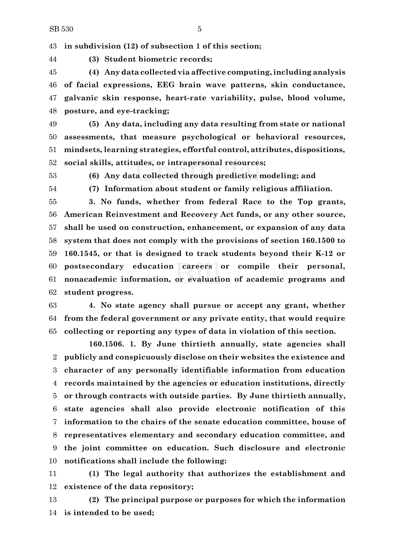**in subdivision (12) of subsection 1 of this section;**

**(3) Student biometric records;**

 **(4) Any data collected via affective computing,including analysis of facial expressions, EEG brain wave patterns, skin conductance, galvanic skin response, heart-rate variability, pulse, blood volume, posture, and eye-tracking;**

 **(5) Any data, including any data resulting from state or national assessments, that measure psychological or behavioral resources, mindsets, learning strategies, effortful control, attributes, dispositions, social skills, attitudes, or intrapersonal resources;**

**(6) Any data collected through predictive modeling; and**

**(7) Information about student or family religious affiliation.**

 **3. No funds, whether from federal Race to the Top grants, American Reinvestment and Recovery Act funds, or any other source, shall be used on construction, enhancement, or expansion of any data system that does not comply with the provisions of section 160.1500 to 160.1545, or that is designed to track students beyond their K-12 or postsecondary education careers or compile their personal, nonacademic information, or evaluation of academic programs and student progress.**

 **4. No state agency shall pursue or accept any grant, whether from the federal government or any private entity, that would require collecting or reporting any types of data in violation of this section.**

**160.1506. 1. By June thirtieth annually, state agencies shall publicly and conspicuously disclose on their websites the existence and character of any personally identifiable information from education records maintained by the agencies or education institutions, directly or through contracts with outside parties. By June thirtieth annually, state agencies shall also provide electronic notification of this information to the chairs of the senate education committee, house of representatives elementary and secondary education committee, and the joint committee on education. Such disclosure and electronic notifications shall include the following:**

 **(1) The legal authority that authorizes the establishment and existence of the data repository;**

 **(2) The principal purpose or purposes for which the information is intended to be used;**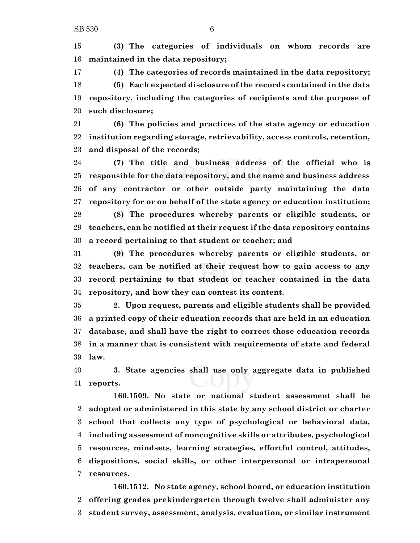**(3) The categories of individuals on whom records are maintained in the data repository;**

 **(4) The categories of records maintained in the data repository; (5) Each expected disclosure of the records contained in the data repository, including the categories of recipients and the purpose of such disclosure;**

 **(6) The policies and practices of the state agency or education institution regarding storage, retrievability, access controls, retention, and disposal of the records;**

 **(7) The title and business address of the official who is responsible for the data repository, and the name and business address of any contractor or other outside party maintaining the data repository for or on behalf of the state agency or education institution; (8) The procedures whereby parents or eligible students, or teachers, can be notified at their request if the data repository contains a record pertaining to that student or teacher; and**

 **(9) The procedures whereby parents or eligible students, or teachers, can be notified at their request how to gain access to any record pertaining to that student or teacher contained in the data repository, and how they can contest its content.**

 **2. Upon request, parents and eligible students shall be provided a printed copy of their education records that are held in an education database, and shall have the right to correct those education records in a manner that is consistent with requirements of state and federal law.**

 **3. State agencies shall use only aggregate data in published reports.**

**160.1509. No state or national student assessment shall be adopted or administered in this state by any school district or charter school that collects any type of psychological or behavioral data, including assessment of noncognitive skills or attributes, psychological resources, mindsets, learning strategies, effortful control, attitudes, dispositions, social skills, or other interpersonal or intrapersonal resources.**

**160.1512. No state agency, school board, or education institution offering grades prekindergarten through twelve shall administer any student survey, assessment, analysis, evaluation, or similar instrument**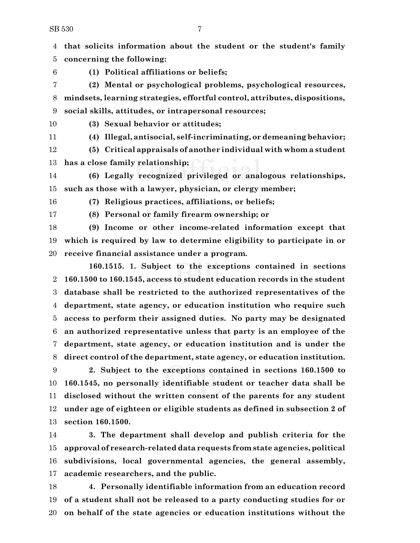**that solicits information about the student or the student's family concerning the following:**

**(1) Political affiliations or beliefs;**

 **(2) Mental or psychological problems, psychological resources, mindsets, learning strategies, effortful control, attributes, dispositions, social skills, attitudes, or intrapersonal resources;**

**(3) Sexual behavior or attitudes;**

**(4) Illegal, antisocial, self-incriminating, or demeaning behavior;**

 **(5) Critical appraisals of another individual with whom a student has a close family relationship;**

 **(6) Legally recognized privileged or analogous relationships, such as those with a lawyer, physician, or clergy member;**

**(7) Religious practices, affiliations, or beliefs;**

**(8) Personal or family firearm ownership; or**

 **(9) Income or other income-related information except that which is required by law to determine eligibility to participate in or receive financial assistance under a program.**

**160.1515. 1. Subject to the exceptions contained in sections 160.1500 to 160.1545, access to student education records in the student database shall be restricted to the authorized representatives of the department, state agency, or education institution who require such access to perform their assigned duties. No party may be designated an authorized representative unless that party is an employee of the department, state agency, or education institution and is under the direct control of the department, state agency, or education institution.**

 **2. Subject to the exceptions contained in sections 160.1500 to 160.1545, no personally identifiable student or teacher data shall be disclosed without the written consent of the parents for any student under age of eighteen or eligible students as defined in subsection 2 of section 160.1500.**

 **3. The department shall develop and publish criteria for the approval of research-related data requests from state agencies, political subdivisions, local governmental agencies, the general assembly, academic researchers, and the public.**

 **4. Personally identifiable information from an education record of a student shall not be released to a party conducting studies for or on behalf of the state agencies or education institutions without the**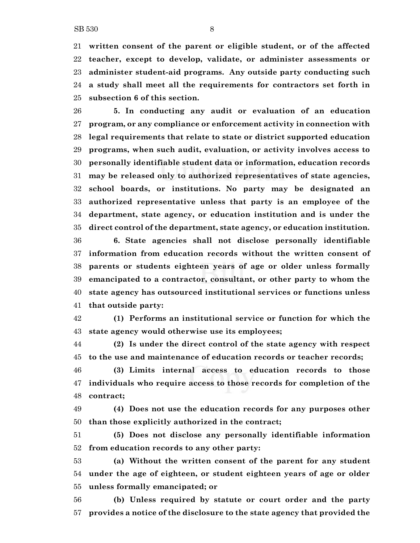**written consent of the parent or eligible student, or of the affected teacher, except to develop, validate, or administer assessments or administer student-aid programs. Any outside party conducting such a study shall meet all the requirements for contractors set forth in subsection 6 of this section.**

 **5. In conducting any audit or evaluation of an education program, or any compliance or enforcement activity in connection with legal requirements that relate to state or district supported education programs, when such audit, evaluation, or activity involves access to personally identifiable student data or information, education records may be released only to authorized representatives of state agencies, school boards, or institutions. No party may be designated an authorized representative unless that party is an employee of the department, state agency, or education institution and is under the direct control of the department, state agency, or education institution.**

 **6. State agencies shall not disclose personally identifiable information from education records without the written consent of parents or students eighteen years of age or older unless formally emancipated to a contractor, consultant, or other party to whom the state agency has outsourced institutional services or functions unless that outside party:**

 **(1) Performs an institutional service or function for which the state agency would otherwise use its employees;**

 **(2) Is under the direct control of the state agency with respect to the use and maintenance of education records or teacher records;**

 **(3) Limits internal access to education records to those individuals who require access to those records for completion of the contract;**

 **(4) Does not use the education records for any purposes other than those explicitly authorized in the contract;**

 **(5) Does not disclose any personally identifiable information from education records to any other party:**

 **(a) Without the written consent of the parent for any student under the age of eighteen, or student eighteen years of age or older unless formally emancipated; or**

 **(b) Unless required by statute or court order and the party provides a notice of the disclosure to the state agency that provided the**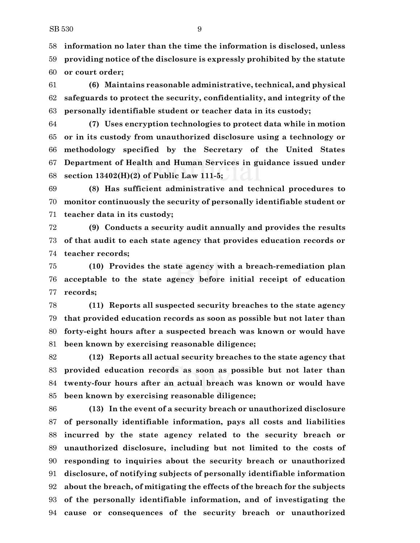**information no later than the time the information is disclosed, unless providing notice of the disclosure is expressly prohibited by the statute or court order;**

 **(6) Maintains reasonable administrative, technical, and physical safeguards to protect the security, confidentiality, and integrity of the personally identifiable student or teacher data in its custody;**

 **(7) Uses encryption technologies to protect data while in motion or in its custody from unauthorized disclosure using a technology or methodology specified by the Secretary of the United States Department of Health and Human Services in guidance issued under section 13402(H)(2) of Public Law 111-5;**

 **(8) Has sufficient administrative and technical procedures to monitor continuously the security of personally identifiable student or teacher data in its custody;**

 **(9) Conducts a security audit annually and provides the results of that audit to each state agency that provides education records or teacher records;**

 **(10) Provides the state agency with a breach-remediation plan acceptable to the state agency before initial receipt of education records;**

 **(11) Reports all suspected security breaches to the state agency that provided education records as soon as possible but not later than forty-eight hours after a suspected breach was known or would have been known by exercising reasonable diligence;**

 **(12) Reports all actual security breaches to the state agency that provided education records as soon as possible but not later than twenty-four hours after an actual breach was known or would have been known by exercising reasonable diligence;**

 **(13) In the event of a security breach or unauthorized disclosure of personally identifiable information, pays all costs and liabilities incurred by the state agency related to the security breach or unauthorized disclosure, including but not limited to the costs of responding to inquiries about the security breach or unauthorized disclosure, of notifying subjects of personally identifiable information about the breach, of mitigating the effects of the breach for the subjects of the personally identifiable information, and of investigating the cause or consequences of the security breach or unauthorized**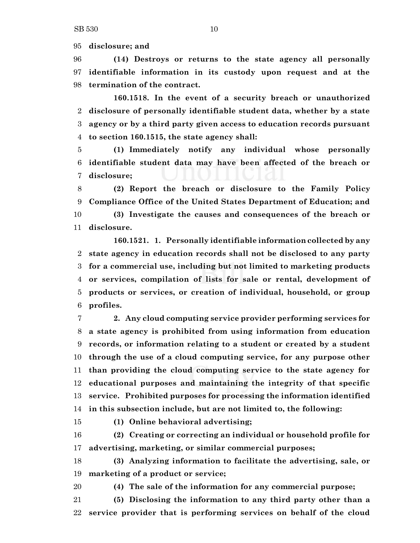**disclosure; and**

 **(14) Destroys or returns to the state agency all personally identifiable information in its custody upon request and at the termination of the contract.**

**160.1518. In the event of a security breach or unauthorized disclosure of personally identifiable student data, whether by a state agency or by a third party given access to education records pursuant to section 160.1515, the state agency shall:**

 **(1) Immediately notify any individual whose personally identifiable student data may have been affected of the breach or disclosure;**

 **(2) Report the breach or disclosure to the Family Policy Compliance Office of the United States Department of Education; and (3) Investigate the causes and consequences of the breach or disclosure.**

**160.1521. 1. Personally identifiable information collected by any state agency in education records shall not be disclosed to any party for a commercial use, including but not limited to marketing products or services, compilation of lists for sale or rental, development of products or services, or creation of individual, household, or group profiles.**

 **2. Any cloud computing service provider performing services for a state agency is prohibited from using information from education records, or information relating to a student or created by a student through the use of a cloud computing service, for any purpose other than providing the cloud computing service to the state agency for educational purposes and maintaining the integrity of that specific service. Prohibited purposes for processing the information identified in this subsection include, but are not limited to, the following:**

**(1) Online behavioral advertising;**

 **(2) Creating or correcting an individual or household profile for advertising, marketing, or similar commercial purposes;**

 **(3) Analyzing information to facilitate the advertising, sale, or marketing of a product or service;**

**(4) The sale of the information for any commercial purpose;**

 **(5) Disclosing the information to any third party other than a service provider that is performing services on behalf of the cloud**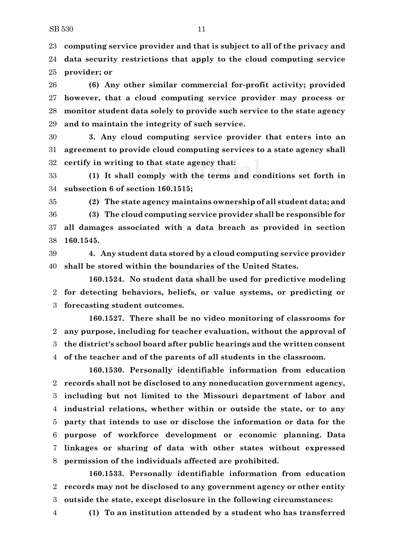**computing service provider and that is subject to all of the privacy and data security restrictions that apply to the cloud computing service provider; or**

 **(6) Any other similar commercial for-profit activity; provided however, that a cloud computing service provider may process or monitor student data solely to provide such service to the state agency and to maintain the integrity of such service.**

 **3. Any cloud computing service provider that enters into an agreement to provide cloud computing services to a state agency shall certify in writing to that state agency that:**

 **(1) It shall comply with the terms and conditions set forth in subsection 6 of section 160.1515;**

**(2) The state agency maintains ownership of all student data; and**

 **(3) The cloud computing service provider shall be responsible for all damages associated with a data breach as provided in section 160.1545.**

 **4. Any student data stored by a cloud computing service provider shall be stored within the boundaries of the United States.**

**160.1524. No student data shall be used for predictive modeling for detecting behaviors, beliefs, or value systems, or predicting or forecasting student outcomes.**

**160.1527. There shall be no video monitoring of classrooms for any purpose, including for teacher evaluation, without the approval of the district's school board after public hearings and the written consent of the teacher and of the parents of all students in the classroom.**

**160.1530. Personally identifiable information from education records shall not be disclosed to any noneducation government agency, including but not limited to the Missouri department of labor and industrial relations, whether within or outside the state, or to any party that intends to use or disclose the information or data for the purpose of workforce development or economic planning. Data linkages or sharing of data with other states without expressed permission of the individuals affected are prohibited.**

**160.1533. Personally identifiable information from education records may not be disclosed to any government agency or other entity outside the state, except disclosure in the following circumstances:**

**(1) To an institution attended by a student who has transferred**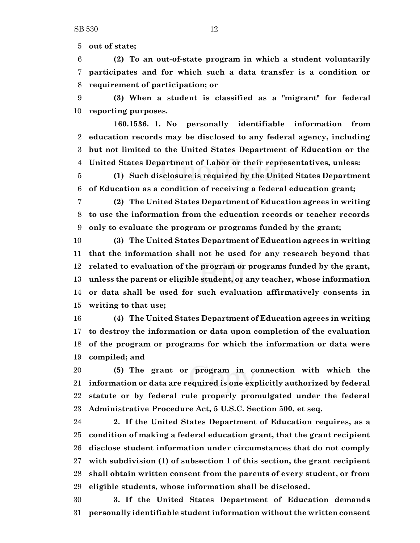**out of state;**

 **(2) To an out-of-state program in which a student voluntarily participates and for which such a data transfer is a condition or requirement of participation; or**

 **(3) When a student is classified as a "migrant" for federal reporting purposes.**

**160.1536. 1. No personally identifiable information from education records may be disclosed to any federal agency, including but not limited to the United States Department of Education or the United States Department of Labor or their representatives, unless:**

 **(1) Such disclosure is required by the United States Department of Education as a condition of receiving a federal education grant;**

 **(2) The United States Department of Education agrees in writing to use the information from the education records or teacher records only to evaluate the program or programs funded by the grant;**

 **(3) The United States Department of Education agrees in writing that the information shall not be used for any research beyond that related to evaluation of the program or programs funded by the grant, unless the parent or eligible student, or any teacher, whose information or data shall be used for such evaluation affirmatively consents in writing to that use;**

 **(4) The United States Department of Education agrees in writing to destroy the information or data upon completion of the evaluation of the program or programs for which the information or data were compiled; and**

 **(5) The grant or program in connection with which the information or data are required is one explicitly authorized by federal statute or by federal rule properly promulgated under the federal Administrative Procedure Act, 5 U.S.C. Section 500, et seq.**

 **2. If the United States Department of Education requires, as a condition of making a federal education grant, that the grant recipient disclose student information under circumstances that do not comply with subdivision (1) of subsection 1 of this section, the grant recipient shall obtain written consent from the parents of every student, or from eligible students, whose information shall be disclosed.**

 **3. If the United States Department of Education demands personally identifiable student information without the written consent**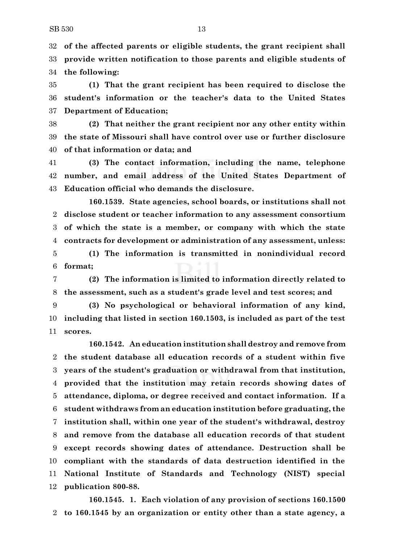**of the affected parents or eligible students, the grant recipient shall provide written notification to those parents and eligible students of the following:**

 **(1) That the grant recipient has been required to disclose the student's information or the teacher's data to the United States Department of Education;**

 **(2) That neither the grant recipient nor any other entity within the state of Missouri shall have control over use or further disclosure of that information or data; and**

 **(3) The contact information, including the name, telephone number, and email address of the United States Department of Education official who demands the disclosure.**

**160.1539. State agencies, school boards, or institutions shall not disclose student or teacher information to any assessment consortium of which the state is a member, or company with which the state contracts for development or administration of any assessment, unless:**

 **(1) The information is transmitted in nonindividual record format;**

 **(2) The information is limited to information directly related to the assessment, such as a student's grade level and test scores; and**

 **(3) No psychological or behavioral information of any kind, including that listed in section 160.1503, is included as part of the test scores.**

**160.1542. An education institution shall destroy and remove from the student database all education records of a student within five years of the student's graduation or withdrawal from that institution, provided that the institution may retain records showing dates of attendance, diploma, or degree received and contact information. If a student withdraws from an education institution before graduating, the institution shall, within one year of the student's withdrawal, destroy and remove from the database all education records of that student except records showing dates of attendance. Destruction shall be compliant with the standards of data destruction identified in the National Institute of Standards and Technology (NIST) special publication 800-88.**

**160.1545. 1. Each violation of any provision of sections 160.1500 to 160.1545 by an organization or entity other than a state agency, a**